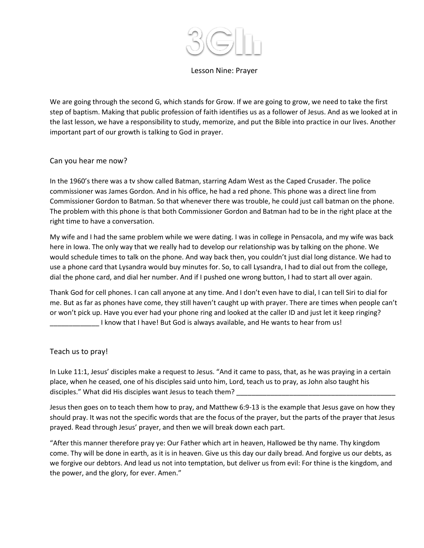

## Lesson Nine: Prayer

We are going through the second G, which stands for Grow. If we are going to grow, we need to take the first step of baptism. Making that public profession of faith identifies us as a follower of Jesus. And as we looked at in the last lesson, we have a responsibility to study, memorize, and put the Bible into practice in our lives. Another important part of our growth is talking to God in prayer.

## Can you hear me now?

In the 1960's there was a tv show called Batman, starring Adam West as the Caped Crusader. The police commissioner was James Gordon. And in his office, he had a red phone. This phone was a direct line from Commissioner Gordon to Batman. So that whenever there was trouble, he could just call batman on the phone. The problem with this phone is that both Commissioner Gordon and Batman had to be in the right place at the right time to have a conversation.

My wife and I had the same problem while we were dating. I was in college in Pensacola, and my wife was back here in Iowa. The only way that we really had to develop our relationship was by talking on the phone. We would schedule times to talk on the phone. And way back then, you couldn't just dial long distance. We had to use a phone card that Lysandra would buy minutes for. So, to call Lysandra, I had to dial out from the college, dial the phone card, and dial her number. And if I pushed one wrong button, I had to start all over again.

Thank God for cell phones. I can call anyone at any time. And I don't even have to dial, I can tell Siri to dial for me. But as far as phones have come, they still haven't caught up with prayer. There are times when people can't or won't pick up. Have you ever had your phone ring and looked at the caller ID and just let it keep ringing? \_\_\_\_\_\_\_\_\_\_\_\_\_ I know that I have! But God is always available, and He wants to hear from us!

Teach us to pray!

In Luke 11:1, Jesus' disciples make a request to Jesus. "And it came to pass, that, as he was praying in a certain place, when he ceased, one of his disciples said unto him, Lord, teach us to pray, as John also taught his disciples." What did His disciples want Jesus to teach them?

Jesus then goes on to teach them how to pray, and Matthew 6:9-13 is the example that Jesus gave on how they should pray. It was not the specific words that are the focus of the prayer, but the parts of the prayer that Jesus prayed. Read through Jesus' prayer, and then we will break down each part.

"After this manner therefore pray ye: Our Father which art in heaven, Hallowed be thy name. Thy kingdom come. Thy will be done in earth, as it is in heaven. Give us this day our daily bread. And forgive us our debts, as we forgive our debtors. And lead us not into temptation, but deliver us from evil: For thine is the kingdom, and the power, and the glory, for ever. Amen."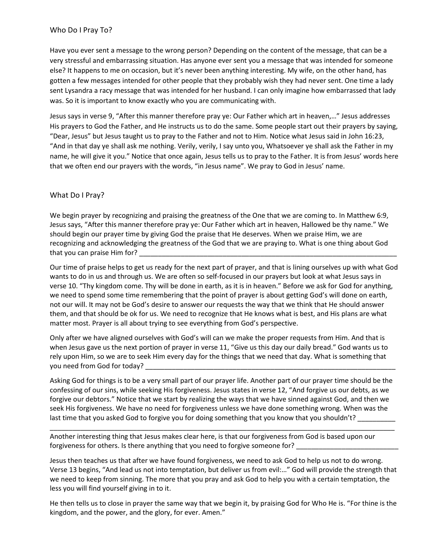Have you ever sent a message to the wrong person? Depending on the content of the message, that can be a very stressful and embarrassing situation. Has anyone ever sent you a message that was intended for someone else? It happens to me on occasion, but it's never been anything interesting. My wife, on the other hand, has gotten a few messages intended for other people that they probably wish they had never sent. One time a lady sent Lysandra a racy message that was intended for her husband. I can only imagine how embarrassed that lady was. So it is important to know exactly who you are communicating with.

Jesus says in verse 9, "After this manner therefore pray ye: Our Father which art in heaven,…" Jesus addresses His prayers to God the Father, and He instructs us to do the same. Some people start out their prayers by saying, "Dear, Jesus" but Jesus taught us to pray to the Father and not to Him. Notice what Jesus said in John 16:23, "And in that day ye shall ask me nothing. Verily, verily, I say unto you, Whatsoever ye shall ask the Father in my name, he will give it you." Notice that once again, Jesus tells us to pray to the Father. It is from Jesus' words here that we often end our prayers with the words, "in Jesus name". We pray to God in Jesus' name.

## What Do I Pray?

We begin prayer by recognizing and praising the greatness of the One that we are coming to. In Matthew 6:9, Jesus says, "After this manner therefore pray ye: Our Father which art in heaven, Hallowed be thy name." We should begin our prayer time by giving God the praise that He deserves. When we praise Him, we are recognizing and acknowledging the greatness of the God that we are praying to. What is one thing about God that you can praise Him for?

Our time of praise helps to get us ready for the next part of prayer, and that is lining ourselves up with what God wants to do in us and through us. We are often so self-focused in our prayers but look at what Jesus says in verse 10. "Thy kingdom come. Thy will be done in earth, as it is in heaven." Before we ask for God for anything, we need to spend some time remembering that the point of prayer is about getting God's will done on earth, not our will. It may not be God's desire to answer our requests the way that we think that He should answer them, and that should be ok for us. We need to recognize that He knows what is best, and His plans are what matter most. Prayer is all about trying to see everything from God's perspective.

Only after we have aligned ourselves with God's will can we make the proper requests from Him. And that is when Jesus gave us the next portion of prayer in verse 11, "Give us this day our daily bread." God wants us to rely upon Him, so we are to seek Him every day for the things that we need that day. What is something that you need from God for today?

Asking God for things is to be a very small part of our prayer life. Another part of our prayer time should be the confessing of our sins, while seeking His forgiveness. Jesus states in verse 12, "And forgive us our debts, as we forgive our debtors." Notice that we start by realizing the ways that we have sinned against God, and then we seek His forgiveness. We have no need for forgiveness unless we have done something wrong. When was the last time that you asked God to forgive you for doing something that you know that you shouldn't?

\_\_\_\_\_\_\_\_\_\_\_\_\_\_\_\_\_\_\_\_\_\_\_\_\_\_\_\_\_\_\_\_\_\_\_\_\_\_\_\_\_\_\_\_\_\_\_\_\_\_\_\_\_\_\_\_\_\_\_\_\_\_\_\_\_\_\_\_\_\_\_\_\_\_\_\_\_\_\_\_\_\_\_\_\_\_\_\_\_\_\_

Another interesting thing that Jesus makes clear here, is that our forgiveness from God is based upon our forgiveness for others. Is there anything that you need to forgive someone for?

Jesus then teaches us that after we have found forgiveness, we need to ask God to help us not to do wrong. Verse 13 begins, "And lead us not into temptation, but deliver us from evil:…" God will provide the strength that we need to keep from sinning. The more that you pray and ask God to help you with a certain temptation, the less you will find yourself giving in to it.

He then tells us to close in prayer the same way that we begin it, by praising God for Who He is. "For thine is the kingdom, and the power, and the glory, for ever. Amen."